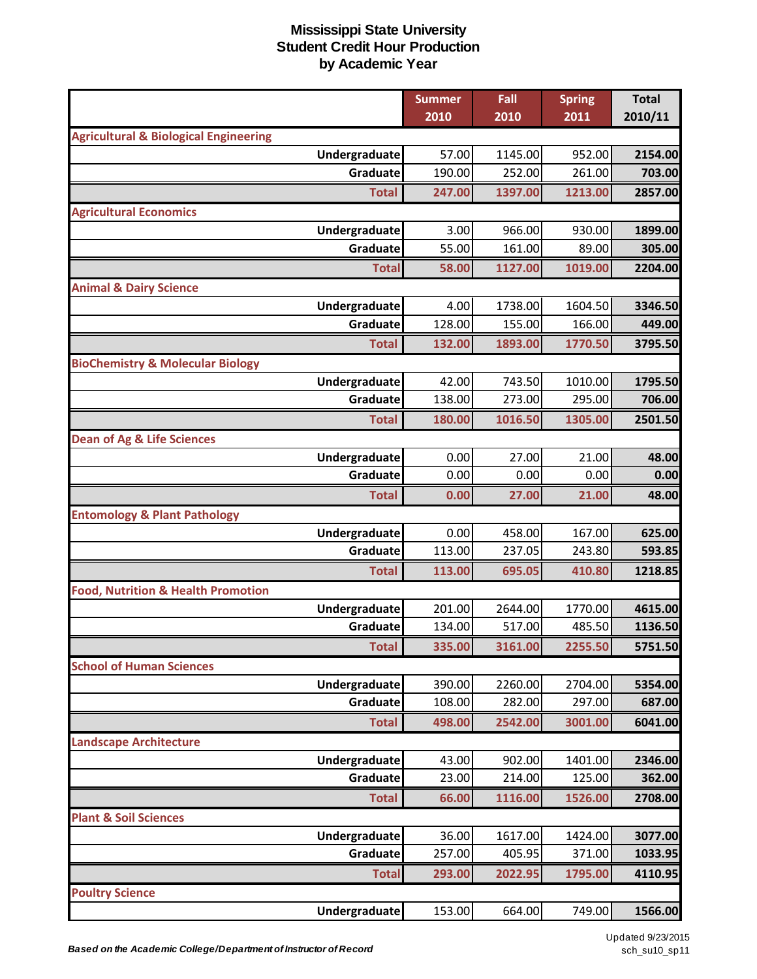|                                                                   | <b>Summer</b> | Fall    | <b>Spring</b> | <b>Total</b> |
|-------------------------------------------------------------------|---------------|---------|---------------|--------------|
|                                                                   | 2010          | 2010    | 2011          | 2010/11      |
| <b>Agricultural &amp; Biological Engineering</b><br>Undergraduate | 57.00         | 1145.00 | 952.00        | 2154.00      |
| Graduate                                                          | 190.00        | 252.00  | 261.00        | 703.00       |
| <b>Total</b>                                                      | 247.00        | 1397.00 | 1213.00       | 2857.00      |
|                                                                   |               |         |               |              |
| <b>Agricultural Economics</b><br>Undergraduate                    | 3.00          | 966.00  | 930.00        | 1899.00      |
| Graduate                                                          | 55.00         | 161.00  | 89.00         | 305.00       |
| <b>Total</b>                                                      | 58.00         | 1127.00 | 1019.00       | 2204.00      |
|                                                                   |               |         |               |              |
| <b>Animal &amp; Dairy Science</b><br>Undergraduate                | 4.00          | 1738.00 | 1604.50       | 3346.50      |
| Graduate                                                          | 128.00        | 155.00  | 166.00        | 449.00       |
| <b>Total</b>                                                      | 132.00        | 1893.00 | 1770.50       | 3795.50      |
| <b>BioChemistry &amp; Molecular Biology</b>                       |               |         |               |              |
| Undergraduate                                                     | 42.00         | 743.50  | 1010.00       | 1795.50      |
| Graduate                                                          | 138.00        | 273.00  | 295.00        | 706.00       |
| <b>Total</b>                                                      | 180.00        | 1016.50 | 1305.00       | 2501.50      |
| <b>Dean of Ag &amp; Life Sciences</b>                             |               |         |               |              |
| Undergraduate                                                     | 0.00          | 27.00   | 21.00         | 48.00        |
| Graduate                                                          | 0.00          | 0.00    | 0.00          | 0.00         |
| <b>Total</b>                                                      | 0.00          | 27.00   | 21.00         | 48.00        |
| <b>Entomology &amp; Plant Pathology</b>                           |               |         |               |              |
| Undergraduate                                                     | 0.00          | 458.00  | 167.00        | 625.00       |
| Graduate                                                          | 113.00        | 237.05  | 243.80        | 593.85       |
| <b>Total</b>                                                      | 113.00        | 695.05  | 410.80        | 1218.85      |
| <b>Food, Nutrition &amp; Health Promotion</b>                     |               |         |               |              |
| Undergraduate                                                     | 201.00        | 2644.00 | 1770.00       | 4615.00      |
| Graduate                                                          | 134.00        | 517.00  | 485.50        | 1136.50      |
| <b>Total</b>                                                      | 335.00        | 3161.00 | 2255.50       | 5751.50      |
| <b>School of Human Sciences</b>                                   |               |         |               |              |
| Undergraduate                                                     | 390.00        | 2260.00 | 2704.00       | 5354.00      |
| Graduate                                                          | 108.00        | 282.00  | 297.00        | 687.00       |
| <b>Total</b>                                                      | 498.00        | 2542.00 | 3001.00       | 6041.00      |
| <b>Landscape Architecture</b>                                     |               |         |               |              |
| Undergraduate                                                     | 43.00         | 902.00  | 1401.00       | 2346.00      |
| Graduate                                                          | 23.00         | 214.00  | 125.00        | 362.00       |
| <b>Total</b>                                                      | 66.00         | 1116.00 | 1526.00       | 2708.00      |
| <b>Plant &amp; Soil Sciences</b>                                  |               |         |               |              |
| Undergraduate                                                     | 36.00         | 1617.00 | 1424.00       | 3077.00      |
| Graduate                                                          | 257.00        | 405.95  | 371.00        | 1033.95      |
| <b>Total</b>                                                      | 293.00        | 2022.95 | 1795.00       | 4110.95      |
| <b>Poultry Science</b>                                            |               |         |               |              |
| Undergraduate                                                     | 153.00        | 664.00  | 749.00        | 1566.00      |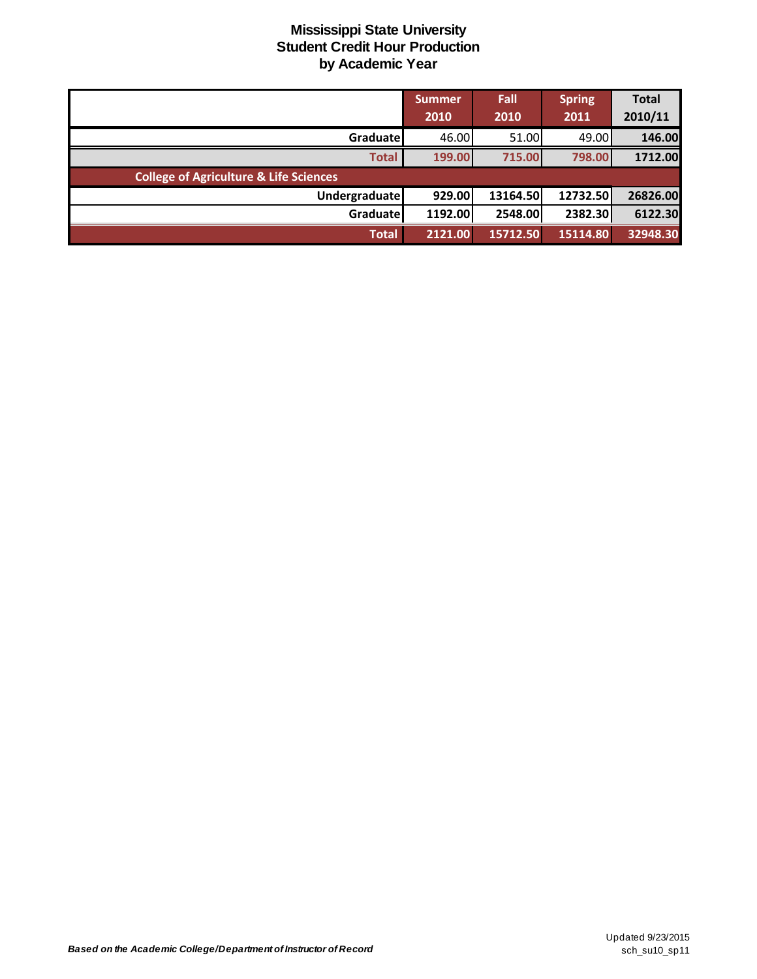|                                                   | Summer<br>2010 | Fall<br>2010 | <b>Spring</b><br>2011 | <b>Total</b><br>2010/11 |
|---------------------------------------------------|----------------|--------------|-----------------------|-------------------------|
| Graduate                                          | 46.00          | 51.00        | 49.00                 | 146.00                  |
| <b>Total</b>                                      | 199.00         | 715.00       | 798.00                | 1712.00                 |
| <b>College of Agriculture &amp; Life Sciences</b> |                |              |                       |                         |
| <b>Undergraduate</b>                              | 929.00         | 13164.50     | 12732.50              | 26826.00                |
| Graduate                                          | 1192.00        | 2548.00      | 2382.30               | 6122.30                 |
| <b>Total</b>                                      | 2121.00        | 15712.50     | 15114.80              | 32948.30                |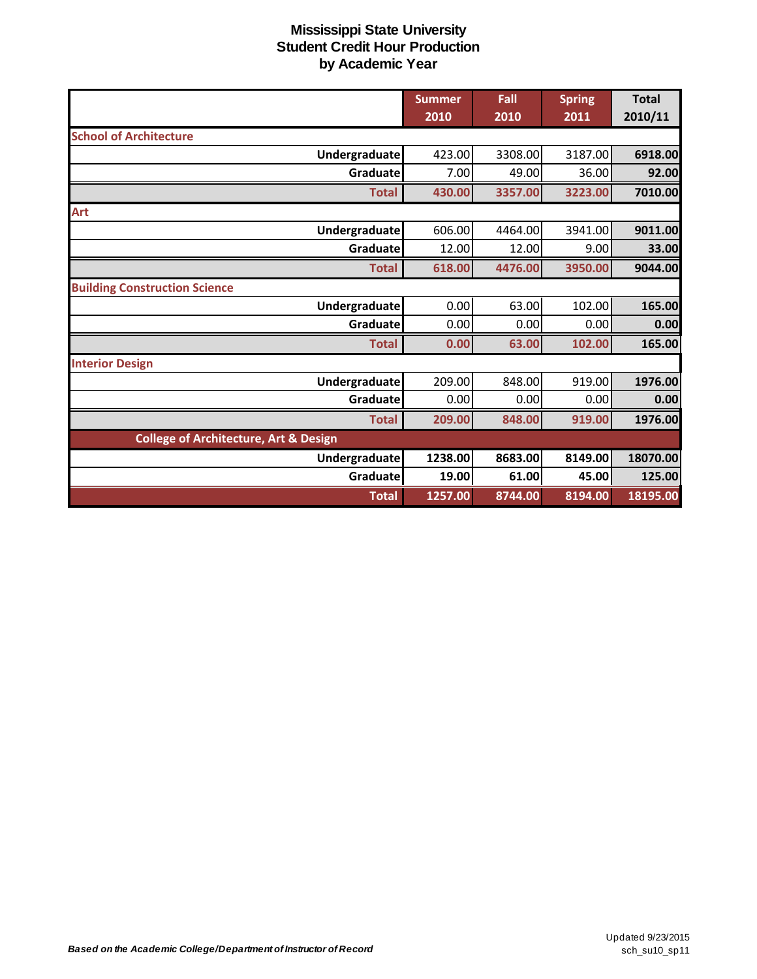|                                                  | <b>Summer</b><br>2010 | Fall<br>2010 | <b>Spring</b><br>2011 | <b>Total</b><br>2010/11 |
|--------------------------------------------------|-----------------------|--------------|-----------------------|-------------------------|
| <b>School of Architecture</b>                    |                       |              |                       |                         |
| Undergraduate                                    | 423.00                | 3308.00      | 3187.00               | 6918.00                 |
| Graduate                                         | 7.00                  | 49.00        | 36.00                 | 92.00                   |
| <b>Total</b>                                     | 430.00                | 3357.00      | 3223.00               | 7010.00                 |
| Art                                              |                       |              |                       |                         |
| <b>Undergraduate</b>                             | 606.00                | 4464.00      | 3941.00               | 9011.00                 |
| Graduate                                         | 12.00                 | 12.00        | 9.00                  | 33.00                   |
| <b>Total</b>                                     | 618.00                | 4476.00      | 3950.00               | 9044.00                 |
| <b>Building Construction Science</b>             |                       |              |                       |                         |
| Undergraduate                                    | 0.00                  | 63.00        | 102.00                | 165.00                  |
| Graduate                                         | 0.00                  | 0.00         | 0.00                  | 0.00                    |
| <b>Total</b>                                     | 0.00                  | 63.00        | 102.00                | 165.00                  |
| <b>Interior Design</b>                           |                       |              |                       |                         |
| Undergraduate                                    | 209.00                | 848.00       | 919.00                | 1976.00                 |
| Graduatel                                        | 0.00                  | 0.00         | 0.00                  | 0.00                    |
| <b>Total</b>                                     | 209.00                | 848.00       | 919.00                | 1976.00                 |
| <b>College of Architecture, Art &amp; Design</b> |                       |              |                       |                         |
| Undergraduate                                    | 1238.00               | 8683.00      | 8149.00               | 18070.00                |
| Graduate                                         | 19.00                 | 61.00        | 45.00                 | 125.00                  |
| <b>Total</b>                                     | 1257.00               | 8744.00      | 8194.00               | 18195.00                |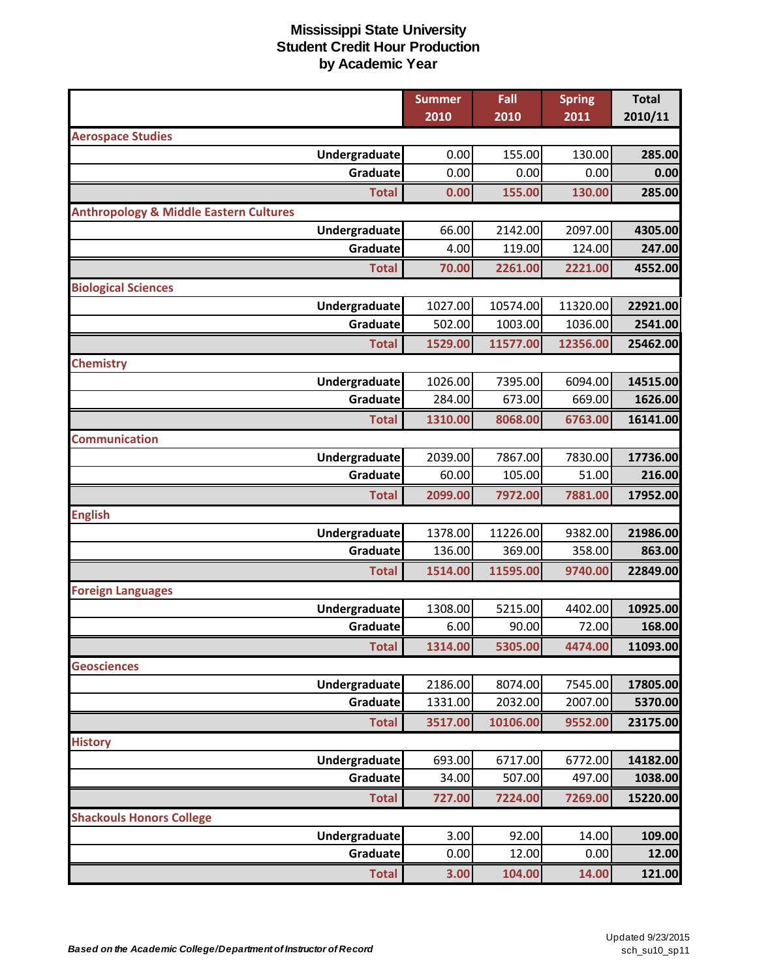|                                                   | <b>Summer</b> | Fall     | <b>Spring</b> | <b>Total</b> |
|---------------------------------------------------|---------------|----------|---------------|--------------|
|                                                   | 2010          | 2010     | 2011          | 2010/11      |
| <b>Aerospace Studies</b>                          |               |          |               |              |
| Undergraduate                                     | 0.00          | 155.00   | 130.00        | 285.00       |
| Graduate                                          | 0.00          | 0.00     | 0.00          | 0.00         |
| <b>Total</b>                                      | 0.00          | 155.00   | 130.00        | 285.00       |
| <b>Anthropology &amp; Middle Eastern Cultures</b> |               |          |               |              |
| Undergraduate                                     | 66.00         | 2142.00  | 2097.00       | 4305.00      |
| Graduate                                          | 4.00          | 119.00   | 124.00        | 247.00       |
| <b>Total</b>                                      | 70.00         | 2261.00  | 2221.00       | 4552.00      |
| <b>Biological Sciences</b>                        |               |          |               |              |
| Undergraduate                                     | 1027.00       | 10574.00 | 11320.00      | 22921.00     |
| Graduate                                          | 502.00        | 1003.00  | 1036.00       | 2541.00      |
| <b>Total</b>                                      | 1529.00       | 11577.00 | 12356.00      | 25462.00     |
| <b>Chemistry</b>                                  |               |          |               |              |
| Undergraduate                                     | 1026.00       | 7395.00  | 6094.00       | 14515.00     |
| Graduate                                          | 284.00        | 673.00   | 669.00        | 1626.00      |
| <b>Total</b>                                      | 1310.00       | 8068.00  | 6763.00       | 16141.00     |
| <b>Communication</b>                              |               |          |               |              |
| Undergraduate                                     | 2039.00       | 7867.00  | 7830.00       | 17736.00     |
| Graduate                                          | 60.00         | 105.00   | 51.00         | 216.00       |
| <b>Total</b>                                      | 2099.00       | 7972.00  | 7881.00       | 17952.00     |
| <b>English</b>                                    |               |          |               |              |
| Undergraduate                                     | 1378.00       | 11226.00 | 9382.00       | 21986.00     |
| Graduate                                          | 136.00        | 369.00   | 358.00        | 863.00       |
| <b>Total</b>                                      | 1514.00       | 11595.00 | 9740.00       | 22849.00     |
| <b>Foreign Languages</b>                          |               |          |               |              |
| Undergraduate                                     | 1308.00       | 5215.00  | 4402.00       | 10925.00     |
| Graduate                                          | 6.00          | 90.00    | 72.00         | 168.00       |
| <b>Total</b>                                      | 1314.00       | 5305.00  | 4474.00       | 11093.00     |
| <b>Geosciences</b>                                |               |          |               |              |
| Undergraduate                                     | 2186.00       | 8074.00  | 7545.00       | 17805.00     |
| Graduate                                          | 1331.00       | 2032.00  | 2007.00       | 5370.00      |
| <b>Total</b>                                      | 3517.00       | 10106.00 | 9552.00       | 23175.00     |
| <b>History</b>                                    |               |          |               |              |
| Undergraduate                                     | 693.00        | 6717.00  | 6772.00       | 14182.00     |
| Graduate                                          | 34.00         | 507.00   | 497.00        | 1038.00      |
| <b>Total</b>                                      | 727.00        | 7224.00  | 7269.00       | 15220.00     |
| <b>Shackouls Honors College</b>                   |               |          |               |              |
| Undergraduate                                     | 3.00          | 92.00    | 14.00         | 109.00       |
| Graduate                                          | 0.00          | 12.00    | 0.00          | 12.00        |
| <b>Total</b>                                      | 3.00          | 104.00   | 14.00         | 121.00       |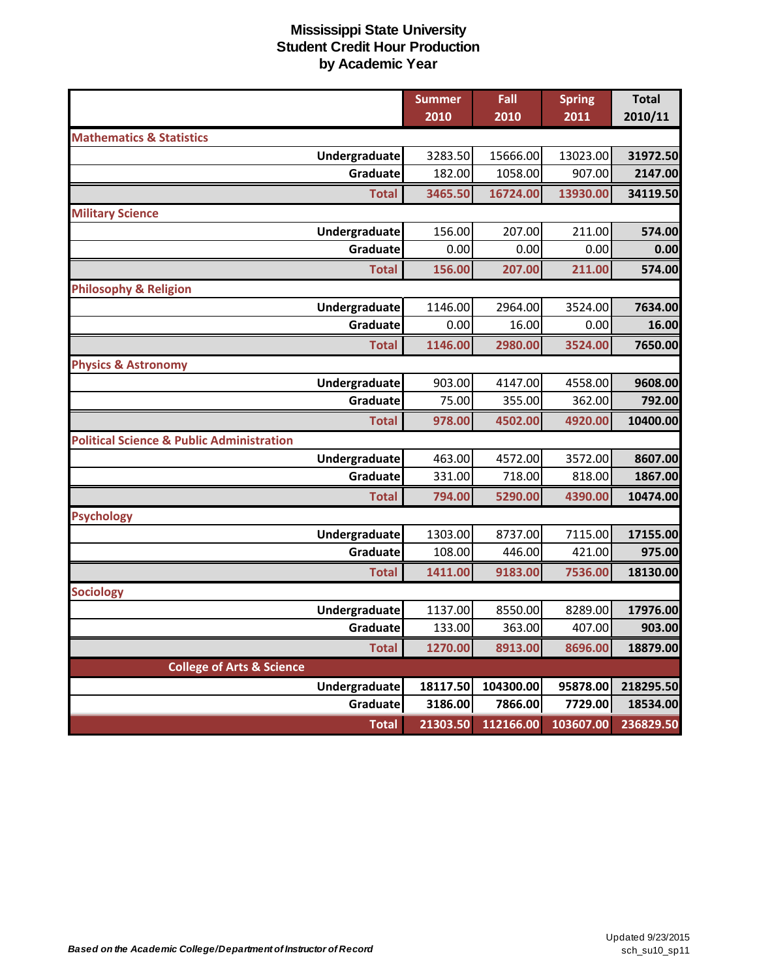|                                                      | <b>Summer</b> | Fall      | <b>Spring</b> | <b>Total</b> |
|------------------------------------------------------|---------------|-----------|---------------|--------------|
|                                                      | 2010          | 2010      | 2011          | 2010/11      |
| <b>Mathematics &amp; Statistics</b>                  |               |           |               |              |
| Undergraduate                                        | 3283.50       | 15666.00  | 13023.00      | 31972.50     |
| Graduate                                             | 182.00        | 1058.00   | 907.00        | 2147.00      |
| <b>Total</b>                                         | 3465.50       | 16724.00  | 13930.00      | 34119.50     |
| <b>Military Science</b>                              |               |           |               |              |
| Undergraduate                                        | 156.00        | 207.00    | 211.00        | 574.00       |
| Graduate                                             | 0.00          | 0.00      | 0.00          | 0.00         |
| <b>Total</b>                                         | 156.00        | 207.00    | 211.00        | 574.00       |
| <b>Philosophy &amp; Religion</b>                     |               |           |               |              |
| Undergraduate                                        | 1146.00       | 2964.00   | 3524.00       | 7634.00      |
| Graduate                                             | 0.00          | 16.00     | 0.00          | 16.00        |
| <b>Total</b>                                         | 1146.00       | 2980.00   | 3524.00       | 7650.00      |
| <b>Physics &amp; Astronomy</b>                       |               |           |               |              |
| Undergraduate                                        | 903.00        | 4147.00   | 4558.00       | 9608.00      |
| Graduate                                             | 75.00         | 355.00    | 362.00        | 792.00       |
| <b>Total</b>                                         | 978.00        | 4502.00   | 4920.00       | 10400.00     |
| <b>Political Science &amp; Public Administration</b> |               |           |               |              |
| Undergraduate                                        | 463.00        | 4572.00   | 3572.00       | 8607.00      |
| Graduate                                             | 331.00        | 718.00    | 818.00        | 1867.00      |
| <b>Total</b>                                         | 794.00        | 5290.00   | 4390.00       | 10474.00     |
| <b>Psychology</b>                                    |               |           |               |              |
| Undergraduate                                        | 1303.00       | 8737.00   | 7115.00       | 17155.00     |
| Graduate                                             | 108.00        | 446.00    | 421.00        | 975.00       |
| <b>Total</b>                                         | 1411.00       | 9183.00   | 7536.00       | 18130.00     |
| <b>Sociology</b>                                     |               |           |               |              |
| Undergraduate                                        | 1137.00       | 8550.00   | 8289.00       | 17976.00     |
| Graduate                                             | 133.00        | 363.00    | 407.00        | 903.00       |
| <b>Total</b>                                         | 1270.00       | 8913.00   | 8696.00       | 18879.00     |
| <b>College of Arts &amp; Science</b>                 |               |           |               |              |
| <b>Undergraduate</b>                                 | 18117.50      | 104300.00 | 95878.00      | 218295.50    |
| Graduate                                             | 3186.00       | 7866.00   | 7729.00       | 18534.00     |
| <b>Total</b>                                         | 21303.50      | 112166.00 | 103607.00     | 236829.50    |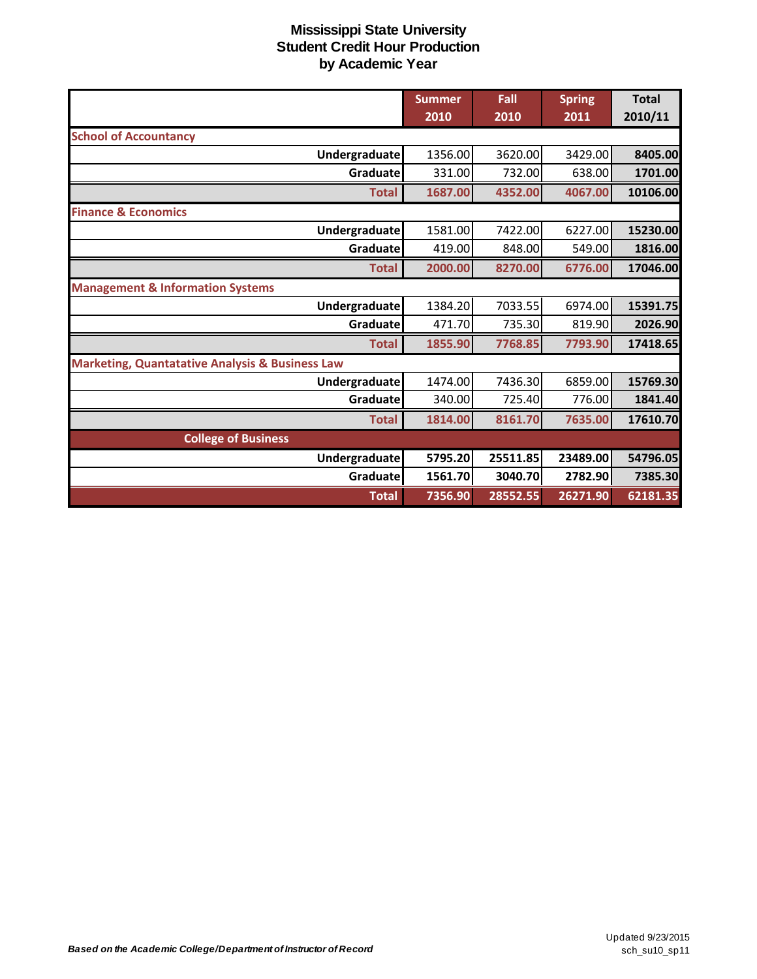|                                                            | <b>Summer</b><br>2010 | Fall<br>2010 | <b>Spring</b><br>2011 | <b>Total</b><br>2010/11 |
|------------------------------------------------------------|-----------------------|--------------|-----------------------|-------------------------|
| <b>School of Accountancy</b>                               |                       |              |                       |                         |
| Undergraduate                                              | 1356.00               | 3620.00      | 3429.00               | 8405.00                 |
| Graduate                                                   | 331.00                | 732.00       | 638.00                | 1701.00                 |
| <b>Total</b>                                               | 1687.00               | 4352.00      | 4067.00               | 10106.00                |
| <b>Finance &amp; Economics</b>                             |                       |              |                       |                         |
| <b>Undergraduate</b>                                       | 1581.00               | 7422.00      | 6227.00               | 15230.00                |
| Graduate                                                   | 419.00                | 848.00       | 549.00                | 1816.00                 |
| <b>Total</b>                                               | 2000.00               | 8270.00      | 6776.00               | 17046.00                |
| <b>Management &amp; Information Systems</b>                |                       |              |                       |                         |
| Undergraduate                                              | 1384.20               | 7033.55      | 6974.00               | 15391.75                |
| Graduate                                                   | 471.70                | 735.30       | 819.90                | 2026.90                 |
| <b>Total</b>                                               | 1855.90               | 7768.85      | 7793.90               | 17418.65                |
| <b>Marketing, Quantatative Analysis &amp; Business Law</b> |                       |              |                       |                         |
| Undergraduate                                              | 1474.00               | 7436.30      | 6859.00               | 15769.30                |
| Graduatel                                                  | 340.00                | 725.40       | 776.00                | 1841.40                 |
| <b>Total</b>                                               | 1814.00               | 8161.70      | 7635.00               | 17610.70                |
| <b>College of Business</b>                                 |                       |              |                       |                         |
| <b>Undergraduate</b>                                       | 5795.20               | 25511.85     | 23489.00              | 54796.05                |
| Graduate                                                   | 1561.70               | 3040.70      | 2782.90               | 7385.30                 |
| <b>Total</b>                                               | 7356.90               | 28552.55     | 26271.90              | 62181.35                |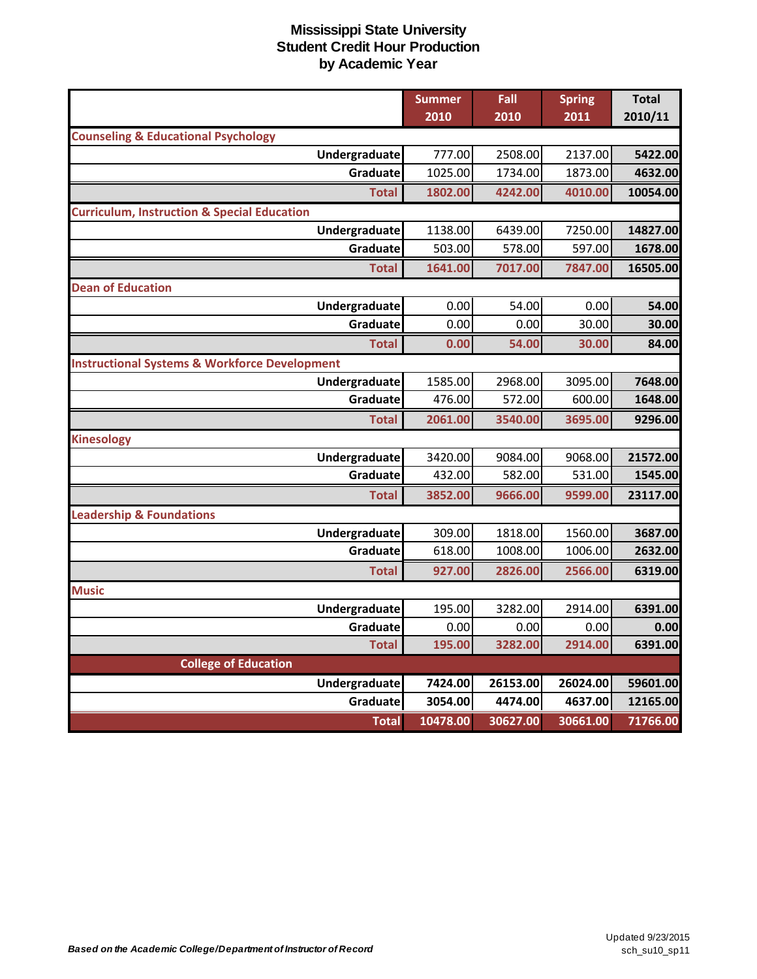|                                                          | <b>Summer</b> | Fall     | <b>Spring</b> | <b>Total</b> |
|----------------------------------------------------------|---------------|----------|---------------|--------------|
|                                                          | 2010          | 2010     | 2011          | 2010/11      |
| <b>Counseling &amp; Educational Psychology</b>           |               |          |               |              |
| Undergraduate                                            | 777.00        | 2508.00  | 2137.00       | 5422.00      |
| Graduate                                                 | 1025.00       | 1734.00  | 1873.00       | 4632.00      |
| <b>Total</b>                                             | 1802.00       | 4242.00  | 4010.00       | 10054.00     |
| <b>Curriculum, Instruction &amp; Special Education</b>   |               |          |               |              |
| Undergraduate                                            | 1138.00       | 6439.00  | 7250.00       | 14827.00     |
| Graduate                                                 | 503.00        | 578.00   | 597.00        | 1678.00      |
| <b>Total</b>                                             | 1641.00       | 7017.00  | 7847.00       | 16505.00     |
| <b>Dean of Education</b>                                 |               |          |               |              |
| Undergraduate                                            | 0.00          | 54.00    | 0.00          | 54.00        |
| Graduate                                                 | 0.00          | 0.00     | 30.00         | 30.00        |
| <b>Total</b>                                             | 0.00          | 54.00    | 30.00         | 84.00        |
| <b>Instructional Systems &amp; Workforce Development</b> |               |          |               |              |
| Undergraduate                                            | 1585.00       | 2968.00  | 3095.00       | 7648.00      |
| Graduate                                                 | 476.00        | 572.00   | 600.00        | 1648.00      |
| <b>Total</b>                                             | 2061.00       | 3540.00  | 3695.00       | 9296.00      |
| <b>Kinesology</b>                                        |               |          |               |              |
| Undergraduate                                            | 3420.00       | 9084.00  | 9068.00       | 21572.00     |
| Graduate                                                 | 432.00        | 582.00   | 531.00        | 1545.00      |
| <b>Total</b>                                             | 3852.00       | 9666.00  | 9599.00       | 23117.00     |
| <b>Leadership &amp; Foundations</b>                      |               |          |               |              |
| Undergraduate                                            | 309.00        | 1818.00  | 1560.00       | 3687.00      |
| Graduate                                                 | 618.00        | 1008.00  | 1006.00       | 2632.00      |
| <b>Total</b>                                             | 927.00        | 2826.00  | 2566.00       | 6319.00      |
| <b>Music</b>                                             |               |          |               |              |
| Undergraduate                                            | 195.00        | 3282.00  | 2914.00       | 6391.00      |
| Graduate                                                 | 0.00          | 0.00     | 0.00          | 0.00         |
| <b>Total</b>                                             | 195.00        | 3282.00  | 2914.00       | 6391.00      |
| <b>College of Education</b>                              |               |          |               |              |
| Undergraduate                                            | 7424.00       | 26153.00 | 26024.00      | 59601.00     |
| Graduate                                                 | 3054.00       | 4474.00  | 4637.00       | 12165.00     |
| <b>Total</b>                                             | 10478.00      | 30627.00 | 30661.00      | 71766.00     |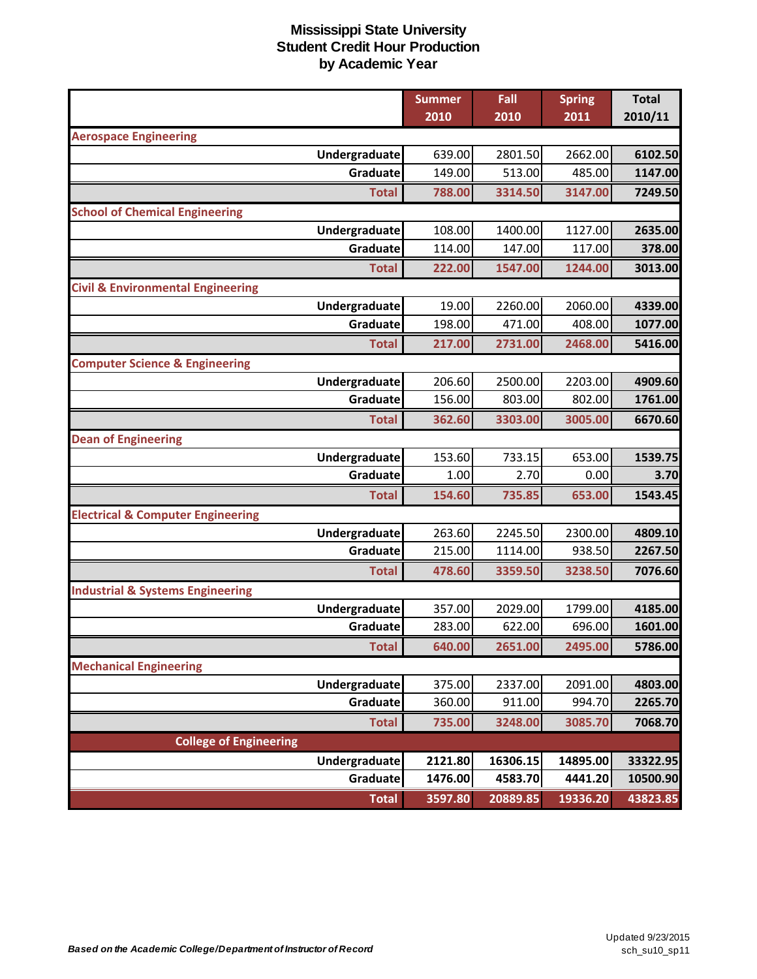|                                              |                      | <b>Summer</b> | Fall     | <b>Spring</b> | <b>Total</b> |
|----------------------------------------------|----------------------|---------------|----------|---------------|--------------|
|                                              |                      | 2010          | 2010     | 2011          | 2010/11      |
| <b>Aerospace Engineering</b>                 |                      |               |          |               |              |
|                                              | Undergraduate        | 639.00        | 2801.50  | 2662.00       | 6102.50      |
|                                              | Graduate             | 149.00        | 513.00   | 485.00        | 1147.00      |
|                                              | <b>Total</b>         | 788.00        | 3314.50  | 3147.00       | 7249.50      |
| <b>School of Chemical Engineering</b>        |                      |               |          |               |              |
|                                              | Undergraduate        | 108.00        | 1400.00  | 1127.00       | 2635.00      |
|                                              | Graduate             | 114.00        | 147.00   | 117.00        | 378.00       |
|                                              | <b>Total</b>         | 222.00        | 1547.00  | 1244.00       | 3013.00      |
| <b>Civil &amp; Environmental Engineering</b> |                      |               |          |               |              |
|                                              | Undergraduate        | 19.00         | 2260.00  | 2060.00       | 4339.00      |
|                                              | Graduate             | 198.00        | 471.00   | 408.00        | 1077.00      |
|                                              | <b>Total</b>         | 217.00        | 2731.00  | 2468.00       | 5416.00      |
| <b>Computer Science &amp; Engineering</b>    |                      |               |          |               |              |
|                                              | Undergraduate        | 206.60        | 2500.00  | 2203.00       | 4909.60      |
|                                              | Graduate             | 156.00        | 803.00   | 802.00        | 1761.00      |
|                                              | <b>Total</b>         | 362.60        | 3303.00  | 3005.00       | 6670.60      |
| <b>Dean of Engineering</b>                   |                      |               |          |               |              |
|                                              | Undergraduate        | 153.60        | 733.15   | 653.00        | 1539.75      |
|                                              | Graduate             | 1.00          | 2.70     | 0.00          | 3.70         |
|                                              | <b>Total</b>         | 154.60        | 735.85   | 653.00        | 1543.45      |
| <b>Electrical &amp; Computer Engineering</b> |                      |               |          |               |              |
|                                              | Undergraduate        | 263.60        | 2245.50  | 2300.00       | 4809.10      |
|                                              | Graduate             | 215.00        | 1114.00  | 938.50        | 2267.50      |
|                                              | <b>Total</b>         | 478.60        | 3359.50  | 3238.50       | 7076.60      |
| <b>Industrial &amp; Systems Engineering</b>  |                      |               |          |               |              |
|                                              | Undergraduate        | 357.00        | 2029.00  | 1799.00       | 4185.00      |
|                                              | Graduate             | 283.00        | 622.00   | 696.00        | 1601.00      |
|                                              | <b>Total</b>         | 640.00        | 2651.00  | 2495.00       | 5786.00      |
| <b>Mechanical Engineering</b>                |                      |               |          |               |              |
|                                              | <b>Undergraduate</b> | 375.00        | 2337.00  | 2091.00       | 4803.00      |
|                                              | Graduate             | 360.00        | 911.00   | 994.70        | 2265.70      |
|                                              | <b>Total</b>         | 735.00        | 3248.00  | 3085.70       | 7068.70      |
| <b>College of Engineering</b>                |                      |               |          |               |              |
|                                              | Undergraduate        | 2121.80       | 16306.15 | 14895.00      | 33322.95     |
|                                              | Graduate             | 1476.00       | 4583.70  | 4441.20       | 10500.90     |
|                                              | <b>Total</b>         | 3597.80       | 20889.85 | 19336.20      | 43823.85     |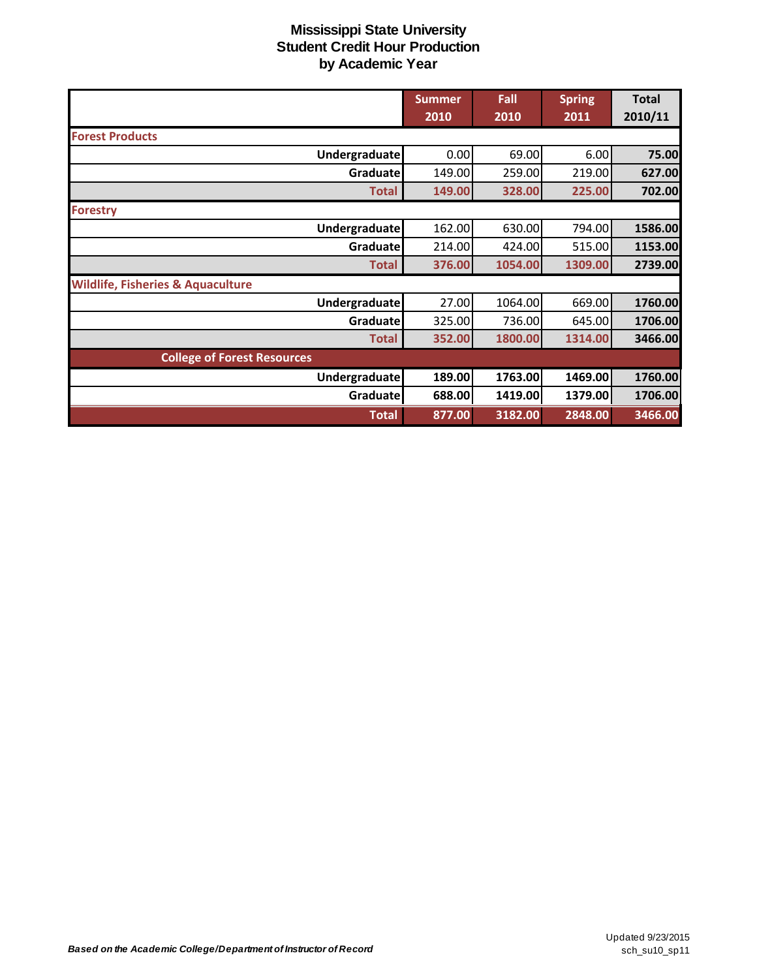|                                              | <b>Summer</b> | Fall    | <b>Spring</b> | <b>Total</b> |
|----------------------------------------------|---------------|---------|---------------|--------------|
|                                              | 2010          | 2010    | 2011          | 2010/11      |
| <b>Forest Products</b>                       |               |         |               |              |
| Undergraduate                                | 0.00          | 69.00   | 6.00          | 75.00        |
| Graduate                                     | 149.00        | 259.00  | 219.00        | 627.00       |
| <b>Total</b>                                 | 149.00        | 328.00  | 225.00        | 702.00       |
| <b>Forestry</b>                              |               |         |               |              |
| Undergraduate                                | 162.00        | 630.00  | 794.00        | 1586.00      |
| Graduate                                     | 214.00        | 424.00  | 515.00        | 1153.00      |
| <b>Total</b>                                 | 376.00        | 1054.00 | 1309.00       | 2739.00      |
| <b>Wildlife, Fisheries &amp; Aquaculture</b> |               |         |               |              |
| <b>Undergraduate</b>                         | 27.00         | 1064.00 | 669.00        | 1760.00      |
| Graduatel                                    | 325.00        | 736.00  | 645.00        | 1706.00      |
| <b>Total</b>                                 | 352.00        | 1800.00 | 1314.00       | 3466.00      |
| <b>College of Forest Resources</b>           |               |         |               |              |
| Undergraduate                                | 189.00        | 1763.00 | 1469.00       | 1760.00      |
| Graduate                                     | 688.00        | 1419.00 | 1379.00       | 1706.00      |
| <b>Total</b>                                 | 877.00        | 3182.00 | 2848.00       | 3466.00      |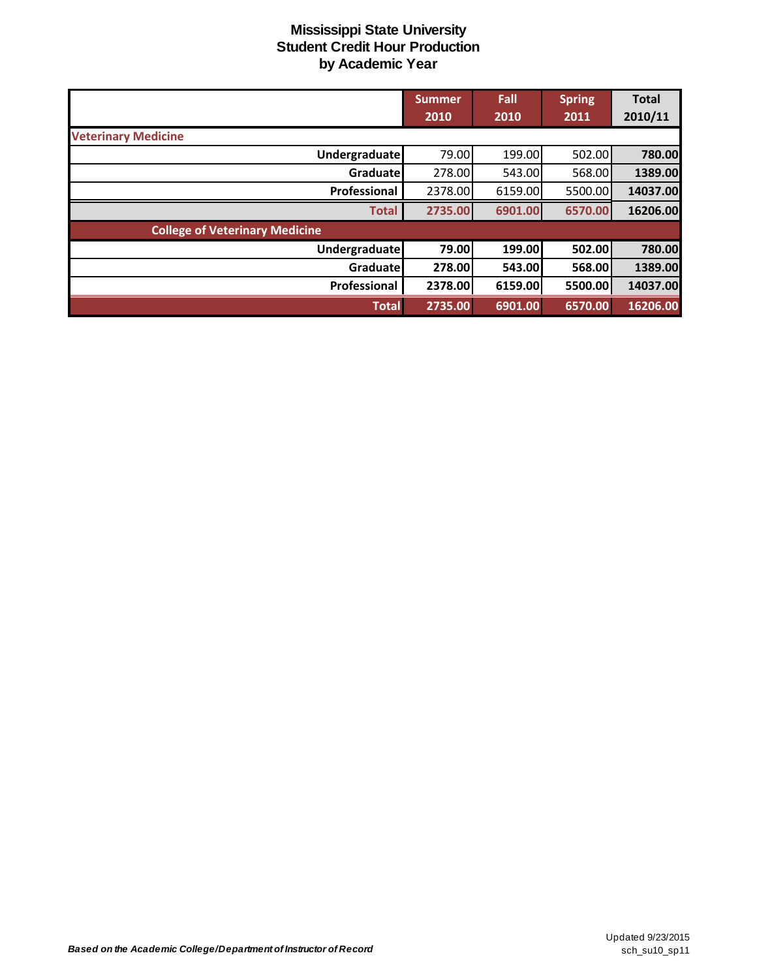|                                       | <b>Summer</b><br>2010 | Fall<br>2010 | <b>Spring</b><br>2011 | <b>Total</b><br>2010/11 |
|---------------------------------------|-----------------------|--------------|-----------------------|-------------------------|
| <b>Veterinary Medicine</b>            |                       |              |                       |                         |
| Undergraduate                         | 79.00                 | 199.00       | 502.00                | 780.00                  |
| Graduate                              | 278.00                | 543.00       | 568.00                | 1389.00                 |
| Professional                          | 2378.00               | 6159.00      | 5500.00               | 14037.00                |
| <b>Total</b>                          | 2735.00               | 6901.00      | 6570.00               | 16206.00                |
| <b>College of Veterinary Medicine</b> |                       |              |                       |                         |
| <b>Undergraduate</b>                  | 79.00                 | 199.00       | 502.00                | 780.00                  |
| Graduate                              | 278.00                | 543.00       | 568.00                | 1389.00                 |
| Professional                          | 2378.00               | 6159.00      | 5500.00               | 14037.00                |
| <b>Total</b>                          | 2735.00               | 6901.00      | 6570.00               | 16206.00                |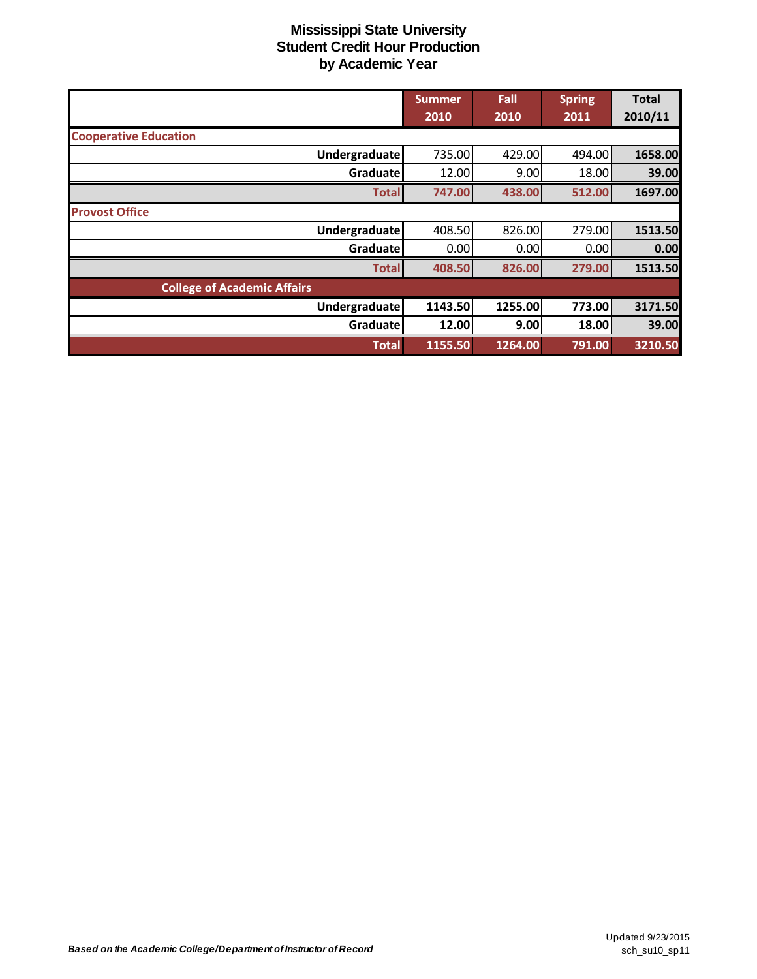|                                    | <b>Summer</b> | Fall    | <b>Spring</b> | <b>Total</b> |
|------------------------------------|---------------|---------|---------------|--------------|
|                                    | 2010          | 2010    | 2011          | 2010/11      |
| <b>Cooperative Education</b>       |               |         |               |              |
| <b>Undergraduate</b>               | 735.00        | 429.00  | 494.00        | 1658.00      |
| Graduate                           | 12.00         | 9.00    | 18.00         | 39.00        |
| <b>Total</b>                       | 747.00        | 438.00  | 512.00        | 1697.00      |
| <b>Provost Office</b>              |               |         |               |              |
| <b>Undergraduate</b>               | 408.50        | 826.00  | 279.00        | 1513.50      |
| Graduatel                          | 0.00          | 0.00    | 0.00          | 0.00         |
| <b>Total</b>                       | 408.50        | 826.00  | 279.00        | 1513.50      |
| <b>College of Academic Affairs</b> |               |         |               |              |
| <b>Undergraduate</b>               | 1143.50       | 1255.00 | 773.00        | 3171.50      |
| Graduate                           | 12.00         | 9.00    | 18.00         | 39.00        |
| <b>Total</b>                       | 1155.50       | 1264.00 | 791.00        | 3210.50      |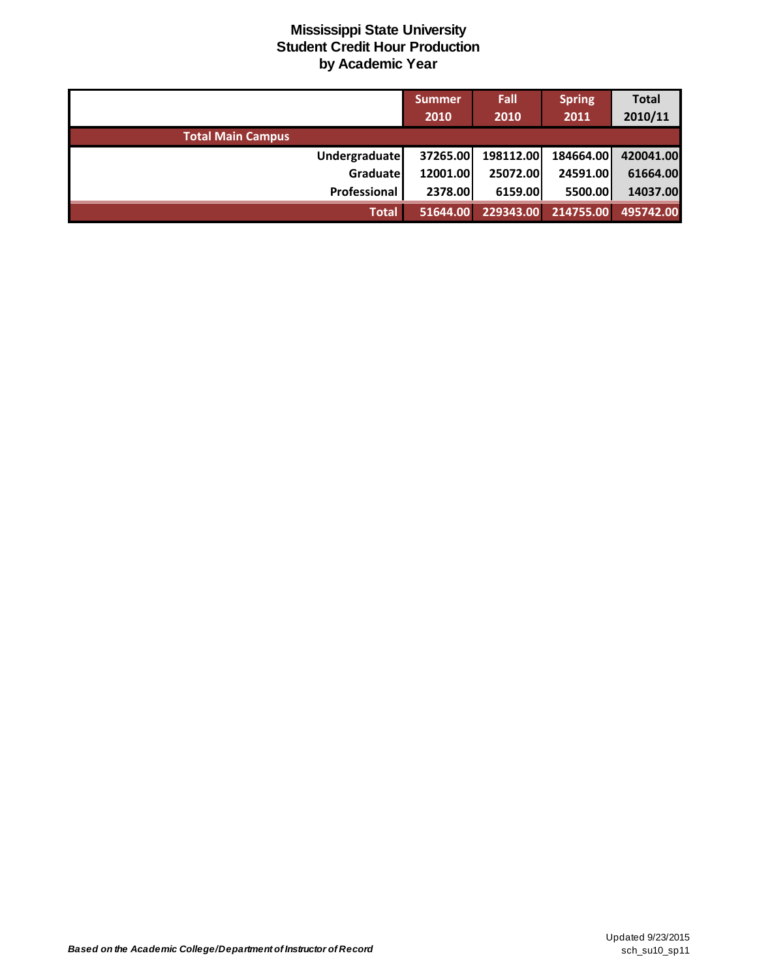|                          | <b>Summer</b> | Fall      | <b>Spring</b> | <b>Total</b> |
|--------------------------|---------------|-----------|---------------|--------------|
|                          | 2010          | 2010      | 2011          | 2010/11      |
| <b>Total Main Campus</b> |               |           |               |              |
| <b>Undergraduate</b>     | 37265.00      | 198112.00 | 184664.00     | 420041.00    |
| Graduate                 | 12001.00      | 25072.00  | 24591.00      | 61664.00     |
| Professional             | 2378.00       | 6159.00   | 5500.00       | 14037.00     |
| <b>Total</b>             | 51644.00      | 229343.00 | 214755.00     | 495742.00    |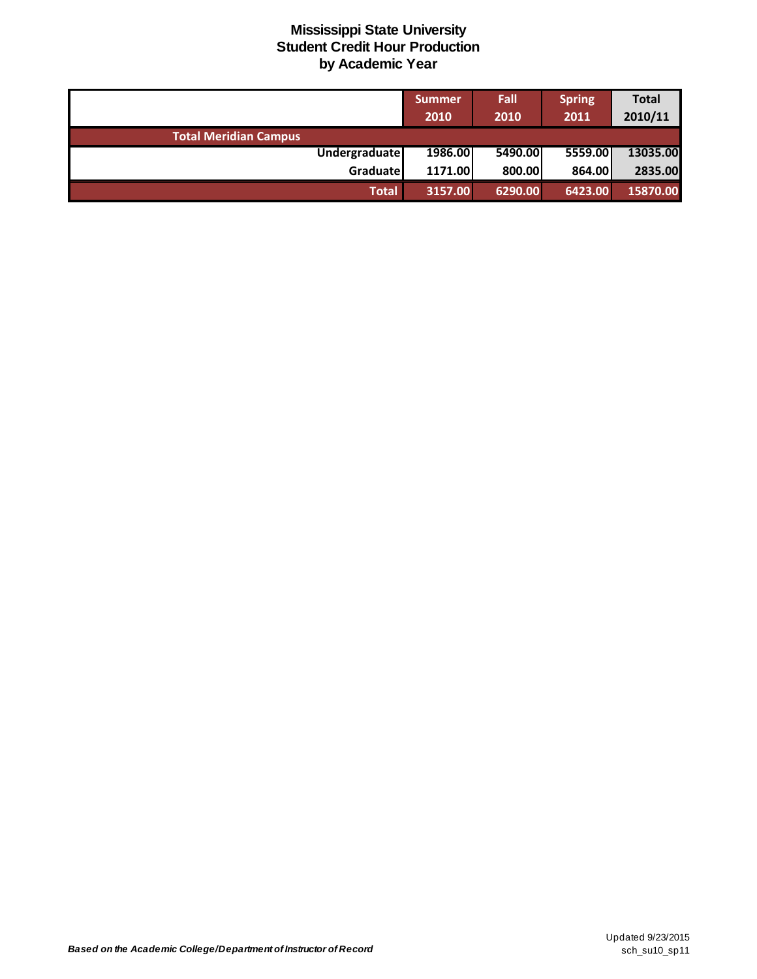|                              | <b>Summer</b><br>2010 | Fall<br>2010 | <b>Spring</b><br>2011 | <b>Total</b><br>2010/11 |
|------------------------------|-----------------------|--------------|-----------------------|-------------------------|
| <b>Total Meridian Campus</b> |                       |              |                       |                         |
| <b>Undergraduate</b>         | 1986.00               | 5490.00      | 5559.00               | 13035.00                |
| Graduatel                    | 1171.00               | 800.00       | 864.00                | 2835.00                 |
| <b>Total</b>                 | 3157.00               | 6290.00      | 6423.00               | 15870.00                |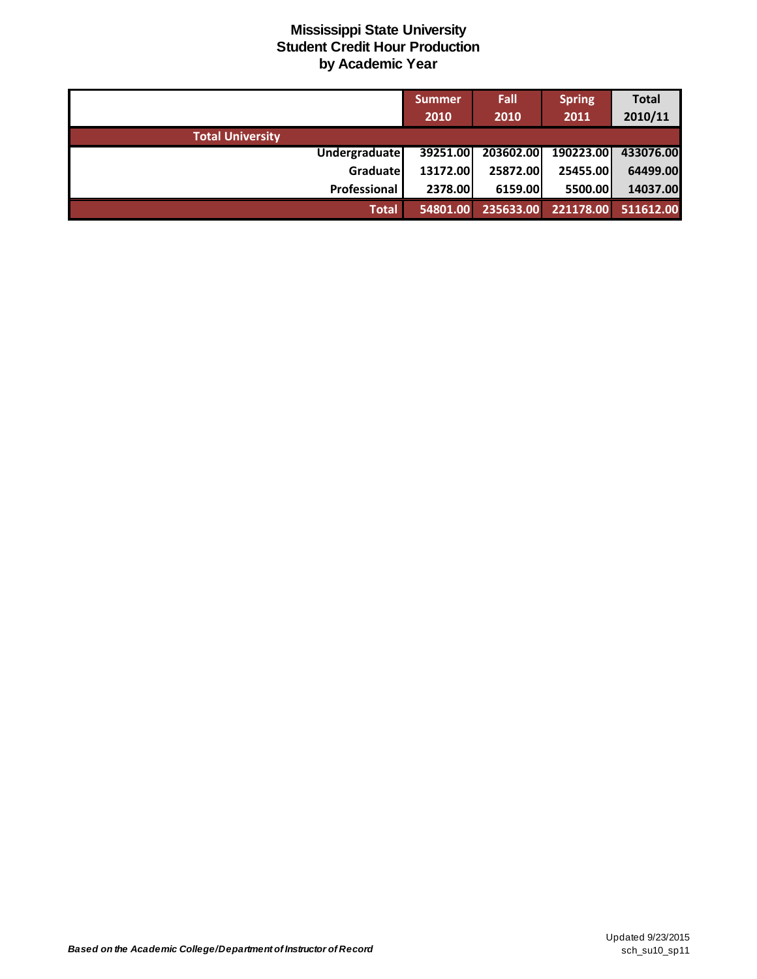|                         | Summer   | Fall      | <b>Spring</b> | <b>Total</b> |
|-------------------------|----------|-----------|---------------|--------------|
|                         | 2010     | 2010      | 2011          | 2010/11      |
| <b>Total University</b> |          |           |               |              |
| <b>Undergraduate</b>    | 39251.00 | 203602.00 | 190223.00     | 433076.00    |
| Graduate                | 13172.00 | 25872.00  | 25455.00      | 64499.00     |
| Professional            | 2378.00  | 6159.00   | 5500.00       | 14037.00     |
| <b>Total</b>            | 54801.00 | 235633.00 | 221178.00     | 511612.00    |